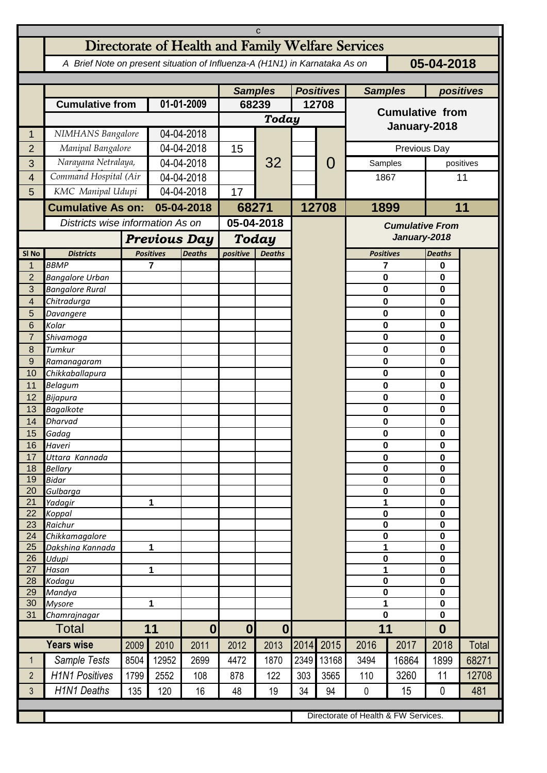| C                                                                                        |                                                   |                                              |                                   |                  |                                           |                  |       |                |                                        |                                   |                  |              |  |
|------------------------------------------------------------------------------------------|---------------------------------------------------|----------------------------------------------|-----------------------------------|------------------|-------------------------------------------|------------------|-------|----------------|----------------------------------------|-----------------------------------|------------------|--------------|--|
|                                                                                          | Directorate of Health and Family Welfare Services |                                              |                                   |                  |                                           |                  |       |                |                                        |                                   |                  |              |  |
| A Brief Note on present situation of Influenza-A (H1N1) in Karnataka As on<br>05-04-2018 |                                                   |                                              |                                   |                  |                                           |                  |       |                |                                        |                                   |                  |              |  |
|                                                                                          |                                                   |                                              |                                   | <b>Samples</b>   |                                           | <b>Positives</b> |       | <b>Samples</b> |                                        | positives                         |                  |              |  |
|                                                                                          | <b>Cumulative from</b>                            |                                              | 01-01-2009                        |                  | 68239                                     |                  | 12708 |                | <b>Cumulative from</b>                 |                                   |                  |              |  |
|                                                                                          |                                                   |                                              |                                   |                  | Today                                     |                  |       | January-2018   |                                        |                                   |                  |              |  |
| 1                                                                                        | NIMHANS Bangalore                                 |                                              | 04-04-2018                        |                  | 15                                        |                  |       |                |                                        |                                   |                  |              |  |
| $\overline{2}$                                                                           | Manipal Bangalore                                 |                                              |                                   | 04-04-2018       |                                           |                  |       | O              | Previous Day                           |                                   |                  |              |  |
| 3                                                                                        |                                                   | Narayana Netralaya,<br>Command Hospital (Air |                                   | 04-04-2018       |                                           | 32               |       |                | Samples                                |                                   | positives<br>11  |              |  |
| 4<br>5                                                                                   | KMC Manipal Udupi                                 |                                              | 04-04-2018<br>04-04-2018          |                  | 17                                        |                  |       |                | 1867                                   |                                   |                  |              |  |
|                                                                                          |                                                   | <b>Cumulative As on:</b>                     |                                   | 05-04-2018       |                                           |                  |       |                | 1899                                   |                                   | 11               |              |  |
|                                                                                          | Districts wise information As on                  |                                              |                                   |                  | 68271<br>05-04-2018                       |                  |       | 12708          |                                        |                                   |                  |              |  |
|                                                                                          |                                                   | <b>Previous Day</b>                          |                                   |                  |                                           |                  |       |                | <b>Cumulative From</b><br>January-2018 |                                   |                  |              |  |
| SI <sub>No</sub>                                                                         | <b>Districts</b>                                  |                                              | <b>Positives</b><br><b>Deaths</b> |                  | <b>Today</b><br>positive<br><b>Deaths</b> |                  |       |                |                                        | <b>Positives</b><br><b>Deaths</b> |                  |              |  |
| 1                                                                                        | <b>BBMP</b>                                       |                                              | 7                                 |                  |                                           |                  |       |                | 7                                      |                                   | 0                |              |  |
| $\overline{2}$                                                                           | <b>Bangalore Urban</b>                            |                                              |                                   |                  |                                           |                  |       |                | $\mathbf 0$                            |                                   | 0                |              |  |
| 3<br>4                                                                                   | <b>Bangalore Rural</b><br>Chitradurga             |                                              |                                   |                  |                                           |                  |       |                | 0<br>0                                 |                                   | 0<br>0           |              |  |
| 5                                                                                        | Davangere                                         |                                              |                                   |                  |                                           |                  |       |                | $\mathbf 0$                            |                                   | 0                |              |  |
| 6                                                                                        | Kolar                                             |                                              |                                   |                  |                                           |                  |       |                | 0                                      |                                   | 0                |              |  |
| $\overline{7}$                                                                           | Shivamoga                                         |                                              |                                   |                  |                                           |                  |       |                | 0                                      |                                   | 0                |              |  |
| 8<br>$\overline{9}$                                                                      | Tumkur                                            | Ramanagaram                                  |                                   |                  |                                           |                  |       |                | 0<br>0                                 |                                   | 0<br>0           |              |  |
| 10                                                                                       | Chikkaballapura                                   |                                              |                                   |                  |                                           |                  |       |                | 0                                      |                                   | 0                |              |  |
| 11                                                                                       | Belagum                                           |                                              |                                   |                  |                                           |                  |       |                | $\mathbf 0$                            |                                   | 0                |              |  |
| 12                                                                                       | Bijapura                                          |                                              |                                   |                  |                                           |                  |       |                | 0                                      |                                   | 0                |              |  |
| 13<br>14                                                                                 | <b>Bagalkote</b><br><b>Dharvad</b>                |                                              |                                   |                  |                                           |                  |       |                | $\mathbf 0$<br>0                       |                                   | $\bf{0}$<br>0    |              |  |
| 15 <sup>7</sup>                                                                          | Gadag                                             |                                              |                                   |                  |                                           |                  |       |                | $\pmb{0}$                              |                                   | 0                |              |  |
| 16                                                                                       | Haveri                                            |                                              |                                   |                  |                                           |                  |       |                | 0                                      |                                   | $\mathbf 0$      |              |  |
| 17<br>18                                                                                 | Uttara Kannada<br><b>Bellary</b>                  |                                              |                                   |                  |                                           |                  |       |                | $\pmb{0}$<br>$\mathbf 0$               |                                   |                  | 0<br>0       |  |
| 19                                                                                       | <b>Bidar</b>                                      |                                              |                                   |                  |                                           |                  |       |                | $\pmb{0}$                              |                                   | 0                |              |  |
| 20                                                                                       | Gulbarga                                          |                                              |                                   |                  |                                           |                  |       |                | $\pmb{0}$                              |                                   | $\mathbf 0$      |              |  |
| 21<br>22                                                                                 | Yadagir<br>Koppal                                 |                                              | 1                                 |                  |                                           |                  |       |                | 1<br>$\pmb{0}$                         |                                   | 0<br>0           |              |  |
| 23                                                                                       | Raichur                                           |                                              |                                   |                  |                                           |                  |       |                |                                        | 0                                 | 0                |              |  |
| 24                                                                                       | Chikkamagalore                                    |                                              |                                   |                  |                                           |                  |       |                | $\pmb{0}$                              |                                   | 0                |              |  |
| 25<br>26                                                                                 | Dakshina Kannada<br>Udupi                         | 1                                            |                                   |                  |                                           |                  |       |                | 1<br>0                                 |                                   | 0<br>0           |              |  |
| 27                                                                                       | Hasan                                             | 1                                            |                                   |                  |                                           |                  |       |                | 1                                      |                                   | 0                |              |  |
| 28                                                                                       | Kodagu                                            |                                              |                                   |                  |                                           |                  |       |                | 0                                      |                                   | 0                |              |  |
| 29<br>30                                                                                 | Mandya<br><b>Mysore</b>                           | 1                                            |                                   |                  |                                           |                  |       |                | 0<br>1                                 |                                   | 0<br>0           |              |  |
| 31                                                                                       | Chamrajnagar                                      |                                              |                                   |                  |                                           |                  |       |                |                                        | $\mathbf 0$                       |                  |              |  |
| <b>Total</b>                                                                             |                                                   | 11                                           |                                   | $\boldsymbol{0}$ | $\boldsymbol{0}$<br>$\boldsymbol{0}$      |                  |       |                | 11                                     |                                   | $\boldsymbol{0}$ |              |  |
|                                                                                          | <b>Years wise</b>                                 | 2009                                         | 2010                              | 2011             | 2012                                      | 2013             |       | 2014 2015      | 2016                                   | 2017                              | 2018             | <b>Total</b> |  |
| $\mathbf 1$                                                                              | Sample Tests                                      | 8504                                         | 12952                             | 2699             | 4472                                      | 1870             | 2349  | 13168          | 3494                                   | 16864                             | 1899             | 68271        |  |
| $\overline{2}$                                                                           | <b>H1N1 Positives</b>                             | 1799                                         | 2552                              | 108              | 878                                       | 122              | 303   | 3565           | 110                                    | 3260                              | 11               | 12708        |  |
| $\mathbf{3}$                                                                             | <b>H1N1 Deaths</b>                                | 135                                          | 120                               | 16               | 48                                        | 19               | 34    | 94             | $\mathbf 0$                            | 15                                | $\mathbf{0}$     | 481          |  |
|                                                                                          |                                                   |                                              |                                   |                  |                                           |                  |       |                | Directorate of Health & FW Services.   |                                   |                  |              |  |
|                                                                                          |                                                   |                                              |                                   |                  |                                           |                  |       |                |                                        |                                   |                  |              |  |